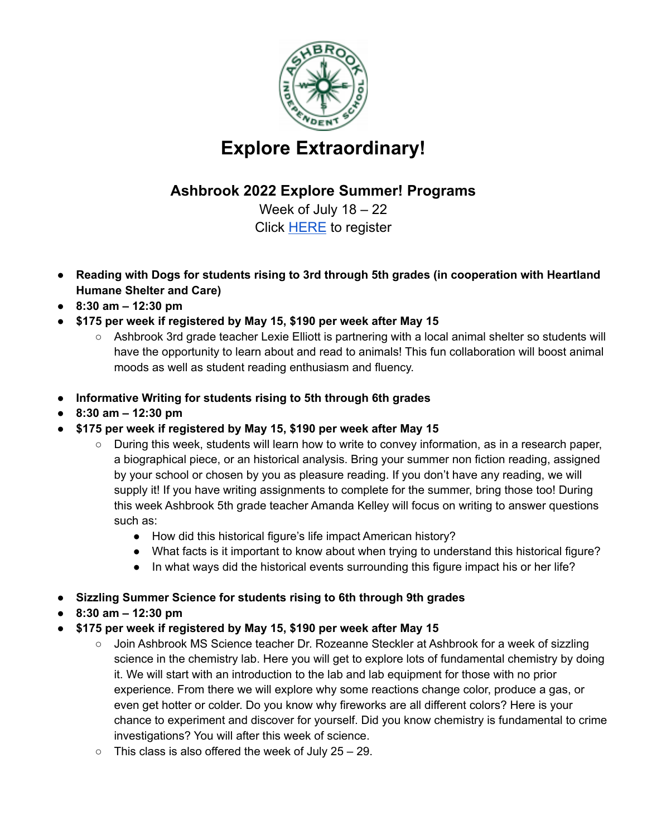

## **Explore Extraordinary!**

## **Ashbrook 2022 Explore Summer! Programs**

Week of July 18 – 22 Click [HERE](https://forms.gle/ZbCt6RwyBEhmvC1B6) to register

- **● Reading with Dogs for students rising to 3rd through 5th grades (in cooperation with Heartland Humane Shelter and Care)**
- **● 8:30 am – 12:30 pm**
- **● \$175 per week if registered by May 15, \$190 per week after May 15**
	- Ashbrook 3rd grade teacher Lexie Elliott is partnering with a local animal shelter so students will have the opportunity to learn about and read to animals! This fun collaboration will boost animal moods as well as student reading enthusiasm and fluency.
- **● Informative Writing for students rising to 5th through 6th grades**
- **● 8:30 am – 12:30 pm**
- **● \$175 per week if registered by May 15, \$190 per week after May 15**
	- During this week, students will learn how to write to convey information, as in a research paper, a biographical piece, or an historical analysis. Bring your summer non fiction reading, assigned by your school or chosen by you as pleasure reading. If you don't have any reading, we will supply it! If you have writing assignments to complete for the summer, bring those too! During this week Ashbrook 5th grade teacher Amanda Kelley will focus on writing to answer questions such as:
		- How did this historical figure's life impact American history?
		- What facts is it important to know about when trying to understand this historical figure?
		- In what ways did the historical events surrounding this figure impact his or her life?
- **● Sizzling Summer Science for students rising to 6th through 9th grades**
- **● 8:30 am – 12:30 pm**
- **● \$175 per week if registered by May 15, \$190 per week after May 15**
	- Join Ashbrook MS Science teacher Dr. Rozeanne Steckler at Ashbrook for a week of sizzling science in the chemistry lab. Here you will get to explore lots of fundamental chemistry by doing it. We will start with an introduction to the lab and lab equipment for those with no prior experience. From there we will explore why some reactions change color, produce a gas, or even get hotter or colder. Do you know why fireworks are all different colors? Here is your chance to experiment and discover for yourself. Did you know chemistry is fundamental to crime investigations? You will after this week of science.
	- $\circ$  This class is also offered the week of July 25 29.